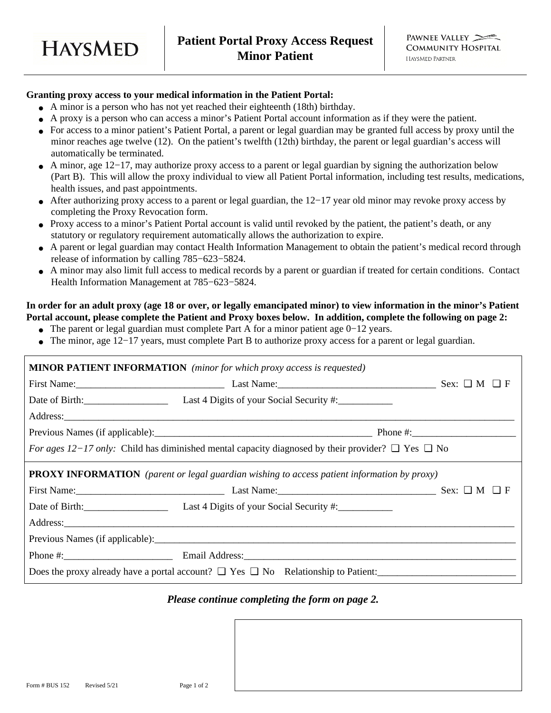

# **Granting proxy access to your medical information in the Patient Portal:**

**HAYSMED** 

- A minor is a person who has not yet reached their eighteenth (18th) birthday.
- A proxy is a person who can access a minor's Patient Portal account information as if they were the patient.
- For access to a minor patient's Patient Portal, a parent or legal guardian may be granted full access by proxy until the minor reaches age twelve (12). On the patient's twelfth (12th) birthday, the parent or legal guardian's access will automatically be terminated.
- A minor, age 12−17, may authorize proxy access to a parent or legal guardian by signing the authorization below (Part B). This will allow the proxy individual to view all Patient Portal information, including test results, medications, health issues, and past appointments.
- After authorizing proxy access to a parent or legal guardian, the 12−17 year old minor may revoke proxy access by completing the Proxy Revocation form.
- Proxy access to a minor's Patient Portal account is valid until revoked by the patient, the patient's death, or any statutory or regulatory requirement automatically allows the authorization to expire.
- A parent or legal guardian may contact Health Information Management to obtain the patient's medical record through release of information by calling 785−623−5824.
- A minor may also limit full access to medical records by a parent or guardian if treated for certain conditions. Contact Health Information Management at 785−623−5824.

#### **In order for an adult proxy (age 18 or over, or legally emancipated minor) to view information in the minor's Patient Portal account, please complete the Patient and Proxy boxes below. In addition, complete the following on page 2:**

- The parent or legal guardian must complete Part A for a minor patient age 0−12 years.
- The minor, age 12−17 years, must complete Part B to authorize proxy access for a parent or legal guardian.

| <b>MINOR PATIENT INFORMATION</b> (minor for which proxy access is requested)                                |                                                         |  |  |
|-------------------------------------------------------------------------------------------------------------|---------------------------------------------------------|--|--|
|                                                                                                             | First Name: Sex: $\square$ M $\square$ F                |  |  |
|                                                                                                             | Date of Birth: Last 4 Digits of your Social Security #: |  |  |
|                                                                                                             |                                                         |  |  |
|                                                                                                             |                                                         |  |  |
| For ages 12–17 only: Child has diminished mental capacity diagnosed by their provider? $\Box$ Yes $\Box$ No |                                                         |  |  |
| <b>PROXY INFORMATION</b> (parent or legal guardian wishing to access patient information by proxy)          |                                                         |  |  |
|                                                                                                             | First Name: Sex: $\Box$ M $\Box$ F                      |  |  |
|                                                                                                             | Date of Birth: Let 4 Digits of your Social Security #:  |  |  |
|                                                                                                             |                                                         |  |  |
|                                                                                                             |                                                         |  |  |
|                                                                                                             | Phone #: Email Address: Email Address:                  |  |  |
| Does the proxy already have a portal account? $\Box$ Yes $\Box$ No Relationship to Patient:                 |                                                         |  |  |

#### *Please continue completing the form on page 2.*